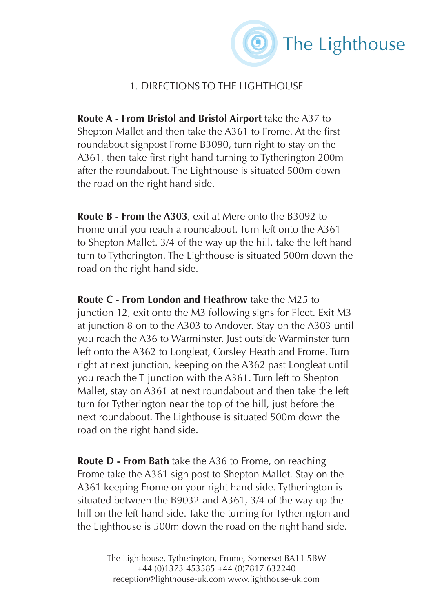

## 1. DIRECTIONS TO THE LIGHTHOUSE

**Route A - From Bristol and Bristol Airport** take the A37 to Shepton Mallet and then take the A361 to Frome. At the first roundabout signpost Frome B3090, turn right to stay on the A361, then take first right hand turning to Tytherington 200m after the roundabout. The Lighthouse is situated 500m down the road on the right hand side.

**Route B - From the A303**, exit at Mere onto the B3092 to Frome until you reach a roundabout. Turn left onto the A361 to Shepton Mallet. 3/4 of the way up the hill, take the left hand turn to Tytherington. The Lighthouse is situated 500m down the road on the right hand side.

**Route C - From London and Heathrow** take the M25 to junction 12, exit onto the M3 following signs for Fleet. Exit M3 at junction 8 on to the A303 to Andover. Stay on the A303 until you reach the A36 to Warminster. Just outside Warminster turn left onto the A362 to Longleat, Corsley Heath and Frome. Turn right at next junction, keeping on the A362 past Longleat until you reach the T junction with the A361. Turn left to Shepton Mallet, stay on A361 at next roundabout and then take the left turn for Tytherington near the top of the hill, just before the next roundabout. The Lighthouse is situated 500m down the road on the right hand side.

**Route D - From Bath** take the A36 to Frome, on reaching Frome take the A361 sign post to Shepton Mallet. Stay on the A361 keeping Frome on your right hand side. Tytherington is situated between the B9032 and A361, 3/4 of the way up the hill on the left hand side. Take the turning for Tytherington and the Lighthouse is 500m down the road on the right hand side.

> The Lighthouse, Tytherington, Frome, Somerset BA11 5BW +44 (0)1373 453585 +44 (0)7817 632240 reception@lighthouse-uk.com www.lighthouse-uk.com